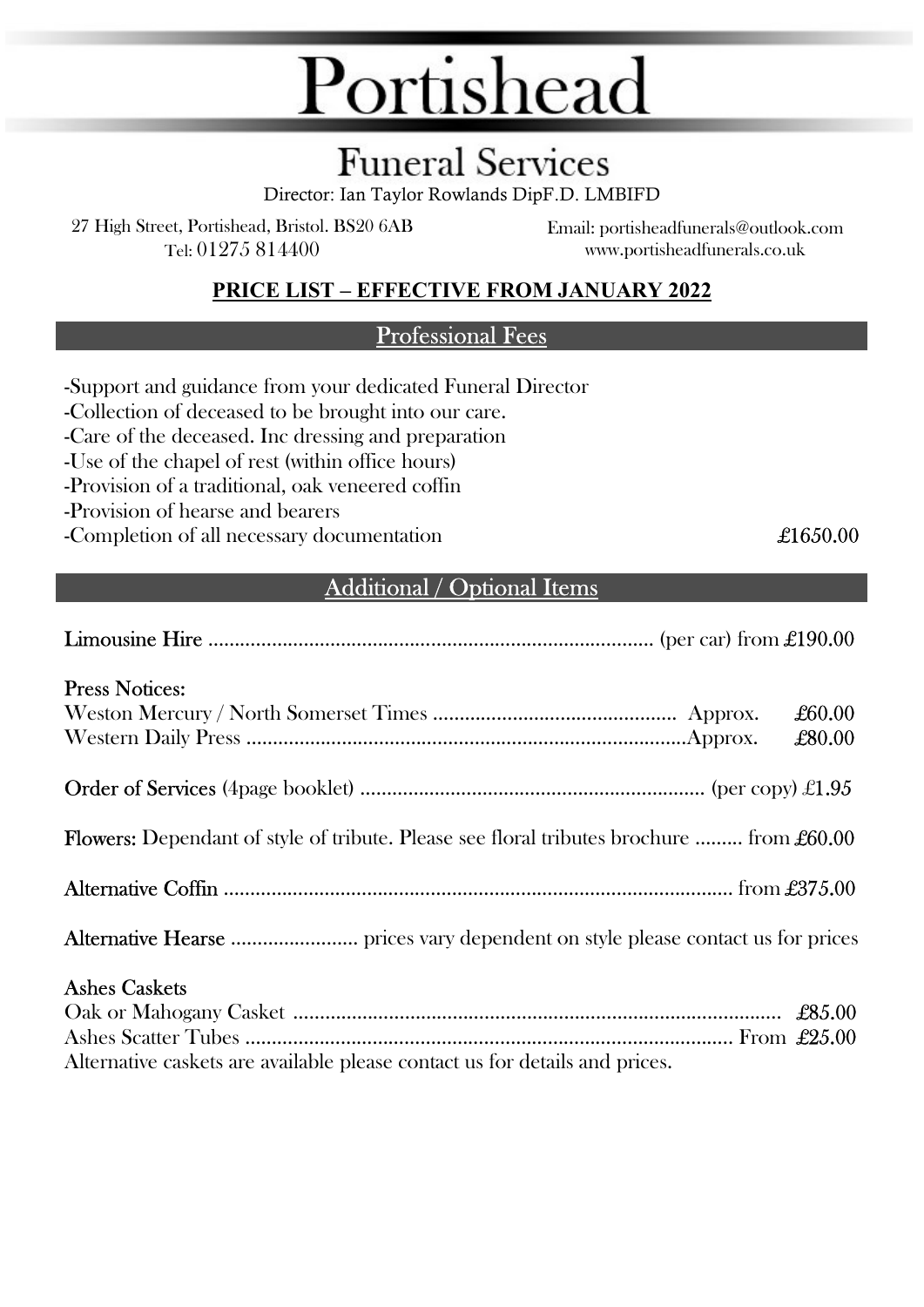## Portishead

## **Funeral Services**

Director: Ian Taylor Rowlands DipF.D. LMBIFD

27 High Street, Portishead, Bristol. BS20 6AB Tel: 01275 814400

Email: portisheadfunerals@outlook.com www.portisheadfunerals.co.uk

£1650.00

#### PRICE LIST – EFFECTIVE FROM JANUARY 2022

#### Professional Fees

| -Support and guidance from your dedicated Funeral Director |
|------------------------------------------------------------|
| -Collection of deceased to be brought into our care.       |
| -Care of the deceased. Inc dressing and preparation        |
| -Use of the chapel of rest (within office hours)           |
| -Provision of a traditional, oak veneered coffin           |
| -Provision of hearse and bearers                           |
| -Completion of all necessary documentation                 |
|                                                            |

#### Additional / Optional Items

| <b>Press Notices:</b>                                                                           |
|-------------------------------------------------------------------------------------------------|
| £60.00                                                                                          |
|                                                                                                 |
|                                                                                                 |
| <b>Flowers:</b> Dependant of style of tribute. Please see floral tributes brochure  from £60.00 |
|                                                                                                 |
|                                                                                                 |
| <b>Ashes Caskets</b>                                                                            |
|                                                                                                 |
|                                                                                                 |
| Alternative caskets are available please contact us for details and prices.                     |